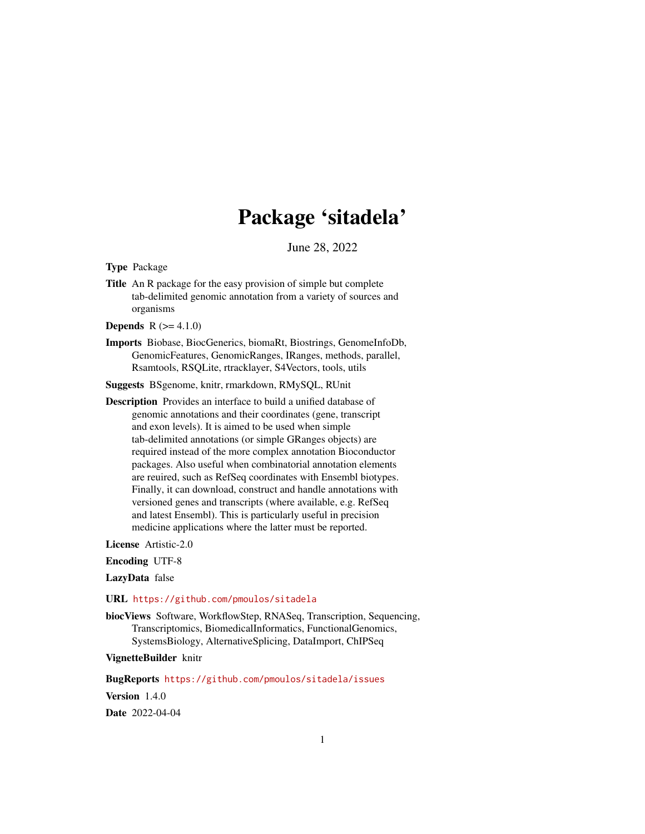## Package 'sitadela'

June 28, 2022

<span id="page-0-0"></span>Type Package

Title An R package for the easy provision of simple but complete tab-delimited genomic annotation from a variety of sources and organisms

**Depends**  $R (= 4.1.0)$ 

Imports Biobase, BiocGenerics, biomaRt, Biostrings, GenomeInfoDb, GenomicFeatures, GenomicRanges, IRanges, methods, parallel, Rsamtools, RSQLite, rtracklayer, S4Vectors, tools, utils

Suggests BSgenome, knitr, rmarkdown, RMySQL, RUnit

Description Provides an interface to build a unified database of genomic annotations and their coordinates (gene, transcript and exon levels). It is aimed to be used when simple tab-delimited annotations (or simple GRanges objects) are required instead of the more complex annotation Bioconductor packages. Also useful when combinatorial annotation elements are reuired, such as RefSeq coordinates with Ensembl biotypes. Finally, it can download, construct and handle annotations with versioned genes and transcripts (where available, e.g. RefSeq and latest Ensembl). This is particularly useful in precision medicine applications where the latter must be reported.

License Artistic-2.0

Encoding UTF-8

LazyData false

URL <https://github.com/pmoulos/sitadela>

biocViews Software, WorkflowStep, RNASeq, Transcription, Sequencing, Transcriptomics, BiomedicalInformatics, FunctionalGenomics, SystemsBiology, AlternativeSplicing, DataImport, ChIPSeq

VignetteBuilder knitr

BugReports <https://github.com/pmoulos/sitadela/issues>

Version 1.4.0

Date 2022-04-04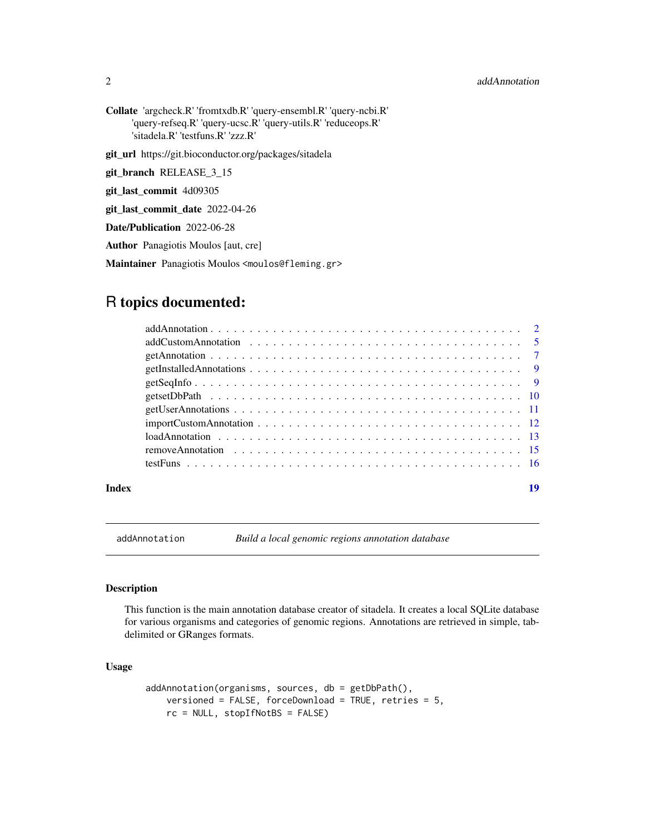#### <span id="page-1-0"></span>2 addAnnotation and 2 and 2 addAnnotation and 2 addAnnotation and 2 addAnnotation and 2 addAnnotation and 2 addAnnotation and 2 and 2 addAnnotation and 2 addAnnotation and 2 addAnnotation and 2 addAnnotation and 2 addAnnot

Collate 'argcheck.R' 'fromtxdb.R' 'query-ensembl.R' 'query-ncbi.R' 'query-refseq.R' 'query-ucsc.R' 'query-utils.R' 'reduceops.R' 'sitadela.R' 'testfuns.R' 'zzz.R'

git\_url https://git.bioconductor.org/packages/sitadela

git\_branch RELEASE\_3\_15

git\_last\_commit 4d09305

git\_last\_commit\_date 2022-04-26

Date/Publication 2022-06-28

Author Panagiotis Moulos [aut, cre]

Maintainer Panagiotis Moulos <moulos@fleming.gr>

### R topics documented:

#### **Index** 2008 **Index** 2008 **Index**

<span id="page-1-1"></span>addAnnotation *Build a local genomic regions annotation database*

#### Description

This function is the main annotation database creator of sitadela. It creates a local SQLite database for various organisms and categories of genomic regions. Annotations are retrieved in simple, tabdelimited or GRanges formats.

#### Usage

```
addAnnotation(organisms, sources, db = getDbPath(),
   versioned = FALSE, forceDownload = TRUE, retries = 5,
   rc = NULL, stopIfNotBS = FALSE)
```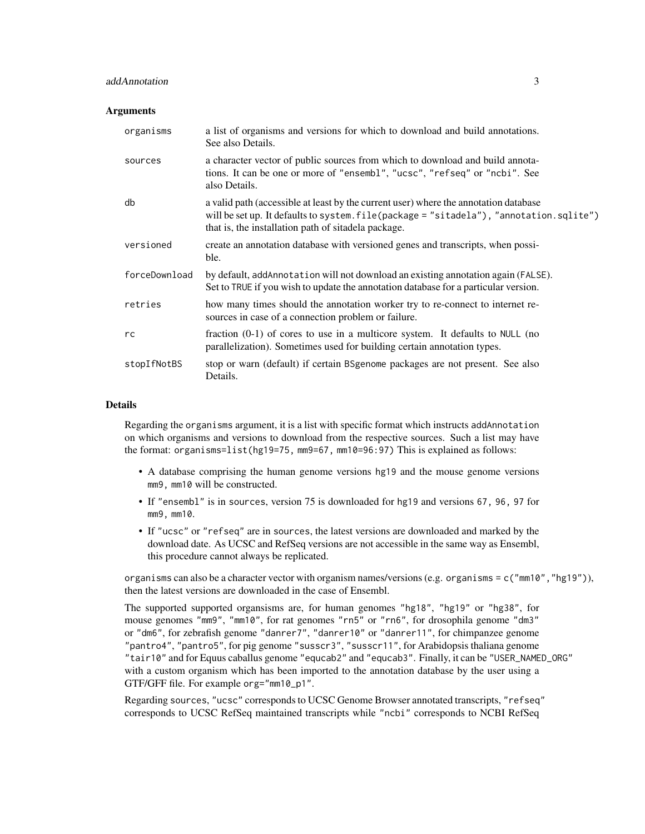#### addAnnotation 3

#### **Arguments**

| organisms     | a list of organisms and versions for which to download and build annotations.<br>See also Details.                                                                                                                                      |
|---------------|-----------------------------------------------------------------------------------------------------------------------------------------------------------------------------------------------------------------------------------------|
| sources       | a character vector of public sources from which to download and build annota-<br>tions. It can be one or more of "ensembl", "ucsc", "refseq" or "ncbi". See<br>also Details.                                                            |
| db            | a valid path (accessible at least by the current user) where the annotation database<br>will be set up. It defaults to system. file(package = "sitadela"), "annotation. sqlite")<br>that is, the installation path of sitadela package. |
| versioned     | create an annotation database with versioned genes and transcripts, when possi-<br>ble.                                                                                                                                                 |
| forceDownload | by default, addAnnotation will not download an existing annotation again (FALSE).<br>Set to TRUE if you wish to update the annotation database for a particular version.                                                                |
| retries       | how many times should the annotation worker try to re-connect to internet re-<br>sources in case of a connection problem or failure.                                                                                                    |
| rc            | fraction $(0-1)$ of cores to use in a multicore system. It defaults to NULL (no<br>parallelization). Sometimes used for building certain annotation types.                                                                              |
| stopIfNotBS   | stop or warn (default) if certain BSgenome packages are not present. See also<br>Details.                                                                                                                                               |

#### Details

Regarding the organisms argument, it is a list with specific format which instructs addAnnotation on which organisms and versions to download from the respective sources. Such a list may have the format: organisms=list(hg19=75, mm9=67, mm10=96:97) This is explained as follows:

- A database comprising the human genome versions hg19 and the mouse genome versions mm9, mm10 will be constructed.
- If "ensembl" is in sources, version 75 is downloaded for hg19 and versions 67, 96, 97 for mm9, mm10.
- If "ucsc" or "refseq" are in sources, the latest versions are downloaded and marked by the download date. As UCSC and RefSeq versions are not accessible in the same way as Ensembl, this procedure cannot always be replicated.

organisms can also be a character vector with organism names/versions (e.g. organisms =  $c("mm10", "hg19"),$ then the latest versions are downloaded in the case of Ensembl.

The supported supported organsisms are, for human genomes "hg18", "hg19" or "hg38", for mouse genomes "mm9", "mm10", for rat genomes "rn5" or "rn6", for drosophila genome "dm3" or "dm6", for zebrafish genome "danrer7", "danrer10" or "danrer11", for chimpanzee genome "pantro4", "pantro5", for pig genome "susscr3", "susscr11", for Arabidopsis thaliana genome "tair10" and for Equus caballus genome "equcab2" and "equcab3". Finally, it can be "USER\_NAMED\_ORG" with a custom organism which has been imported to the annotation database by the user using a GTF/GFF file. For example org="mm10\_p1".

Regarding sources, "ucsc" corresponds to UCSC Genome Browser annotated transcripts, "refseq" corresponds to UCSC RefSeq maintained transcripts while "ncbi" corresponds to NCBI RefSeq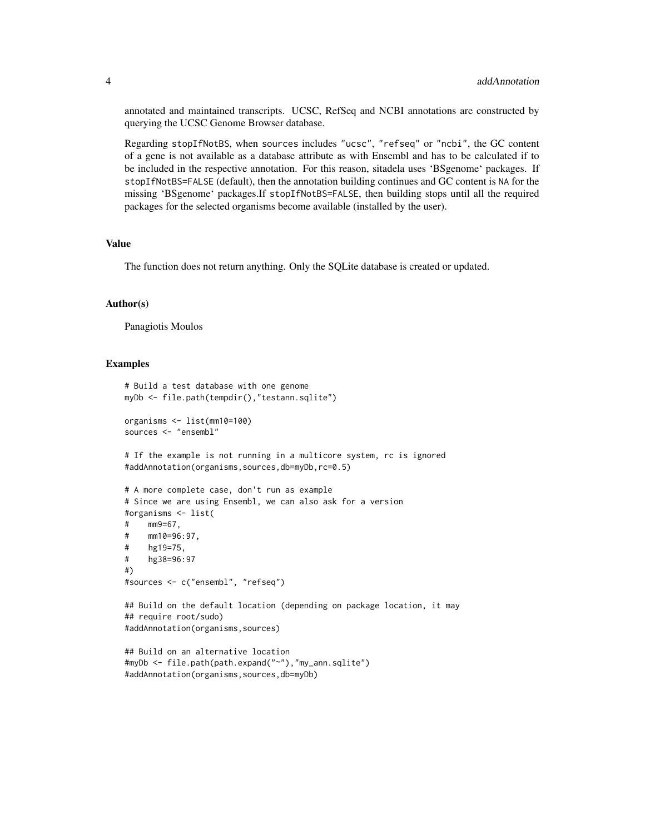annotated and maintained transcripts. UCSC, RefSeq and NCBI annotations are constructed by querying the UCSC Genome Browser database.

Regarding stopIfNotBS, when sources includes "ucsc", "refseq" or "ncbi", the GC content of a gene is not available as a database attribute as with Ensembl and has to be calculated if to be included in the respective annotation. For this reason, sitadela uses 'BSgenome' packages. If stopIfNotBS=FALSE (default), then the annotation building continues and GC content is NA for the missing 'BSgenome' packages.If stopIfNotBS=FALSE, then building stops until all the required packages for the selected organisms become available (installed by the user).

#### Value

The function does not return anything. Only the SQLite database is created or updated.

#### Author(s)

Panagiotis Moulos

```
# Build a test database with one genome
myDb <- file.path(tempdir(),"testann.sqlite")
organisms <- list(mm10=100)
sources <- "ensembl"
# If the example is not running in a multicore system, rc is ignored
#addAnnotation(organisms,sources,db=myDb,rc=0.5)
# A more complete case, don't run as example
# Since we are using Ensembl, we can also ask for a version
#organisms <- list(
# mm9=67,
# mm10=96:97,
# hg19=75,
# hg38=96:97
#)
#sources <- c("ensembl", "refseq")
## Build on the default location (depending on package location, it may
## require root/sudo)
#addAnnotation(organisms,sources)
## Build on an alternative location
#myDb <- file.path(path.expand("~"),"my_ann.sqlite")
#addAnnotation(organisms,sources,db=myDb)
```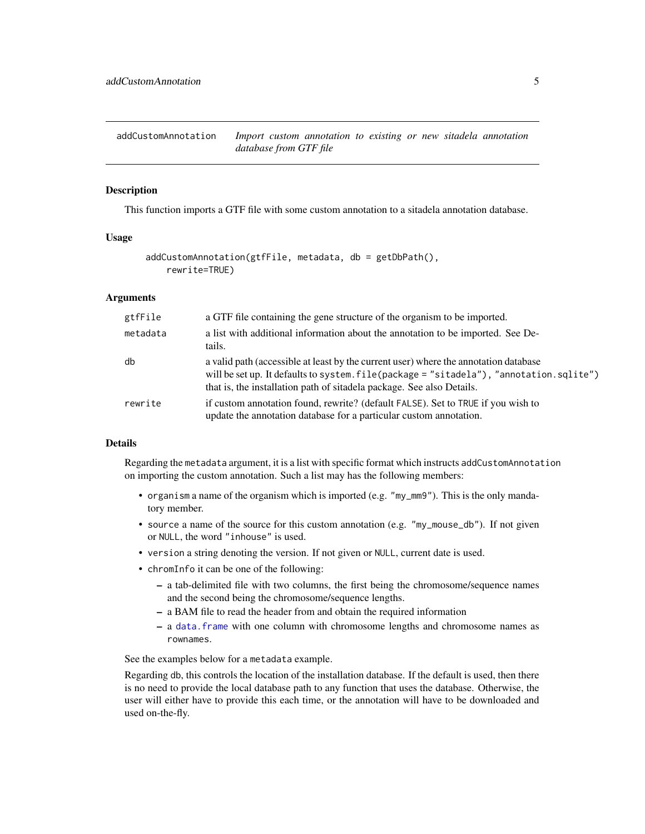<span id="page-4-1"></span><span id="page-4-0"></span>addCustomAnnotation *Import custom annotation to existing or new sitadela annotation database from GTF file*

#### **Description**

This function imports a GTF file with some custom annotation to a sitadela annotation database.

#### Usage

```
addCustomAnnotation(gtfFile, metadata, db = getDbPath(),
    rewrite=TRUE)
```
#### Arguments

| gtfFile  | a GTF file containing the gene structure of the organism to be imported.                                                                                                                                                                                  |
|----------|-----------------------------------------------------------------------------------------------------------------------------------------------------------------------------------------------------------------------------------------------------------|
| metadata | a list with additional information about the annotation to be imported. See De-<br>tails.                                                                                                                                                                 |
| db       | a valid path (accessible at least by the current user) where the annotation database<br>will be set up. It defaults to system. file(package = "sitadela"), "annotation. sqlite")<br>that is, the installation path of sitadela package. See also Details. |
| rewrite  | if custom annotation found, rewrite? (default FALSE). Set to TRUE if you wish to<br>update the annotation database for a particular custom annotation.                                                                                                    |

#### Details

Regarding the metadata argument, it is a list with specific format which instructs addCustomAnnotation on importing the custom annotation. Such a list may has the following members:

- organism a name of the organism which is imported (e.g. "my\_mm9"). This is the only mandatory member.
- source a name of the source for this custom annotation (e.g. "my\_mouse\_db"). If not given or NULL, the word "inhouse" is used.
- version a string denoting the version. If not given or NULL, current date is used.
- chromInfo it can be one of the following:
	- a tab-delimited file with two columns, the first being the chromosome/sequence names and the second being the chromosome/sequence lengths.
	- a BAM file to read the header from and obtain the required information
	- a [data.frame](#page-0-0) with one column with chromosome lengths and chromosome names as rownames.

See the examples below for a metadata example.

Regarding db, this controls the location of the installation database. If the default is used, then there is no need to provide the local database path to any function that uses the database. Otherwise, the user will either have to provide this each time, or the annotation will have to be downloaded and used on-the-fly.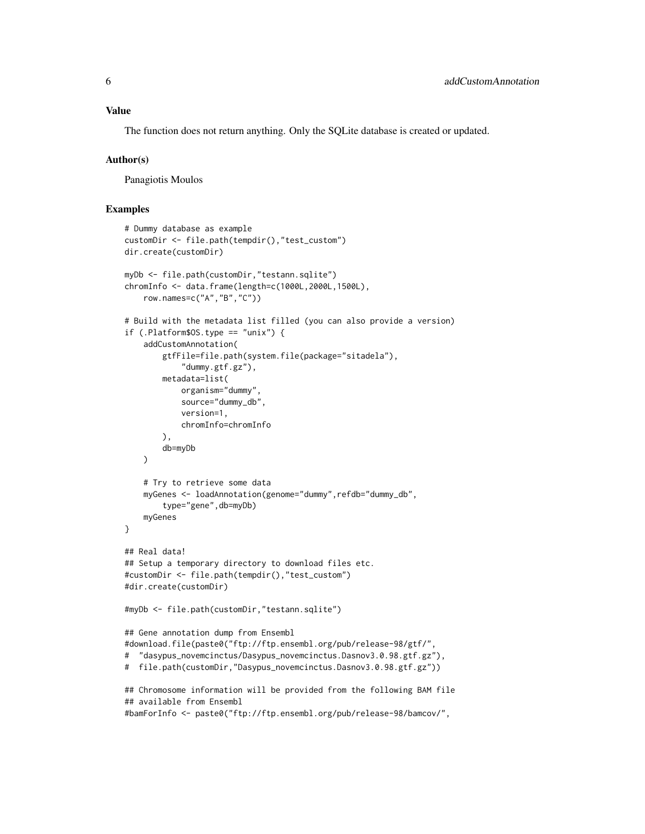The function does not return anything. Only the SQLite database is created or updated.

#### Author(s)

Panagiotis Moulos

```
# Dummy database as example
customDir <- file.path(tempdir(),"test_custom")
dir.create(customDir)
myDb <- file.path(customDir,"testann.sqlite")
chromInfo <- data.frame(length=c(1000L,2000L,1500L),
   row.names=c("A","B","C"))
# Build with the metadata list filled (you can also provide a version)
if (.Platform$OS.type == "unix") {
    addCustomAnnotation(
        gtfFile=file.path(system.file(package="sitadela"),
            "dummy.gtf.gz"),
        metadata=list(
            organism="dummy",
            source="dummy_db",
            version=1,
            chromInfo=chromInfo
        ),
        db=myDb
   )
    # Try to retrieve some data
   myGenes <- loadAnnotation(genome="dummy",refdb="dummy_db",
        type="gene",db=myDb)
   myGenes
}
## Real data!
## Setup a temporary directory to download files etc.
#customDir <- file.path(tempdir(),"test_custom")
#dir.create(customDir)
#myDb <- file.path(customDir,"testann.sqlite")
## Gene annotation dump from Ensembl
#download.file(paste0("ftp://ftp.ensembl.org/pub/release-98/gtf/",
# "dasypus_novemcinctus/Dasypus_novemcinctus.Dasnov3.0.98.gtf.gz"),
# file.path(customDir,"Dasypus_novemcinctus.Dasnov3.0.98.gtf.gz"))
## Chromosome information will be provided from the following BAM file
## available from Ensembl
#bamForInfo <- paste0("ftp://ftp.ensembl.org/pub/release-98/bamcov/",
```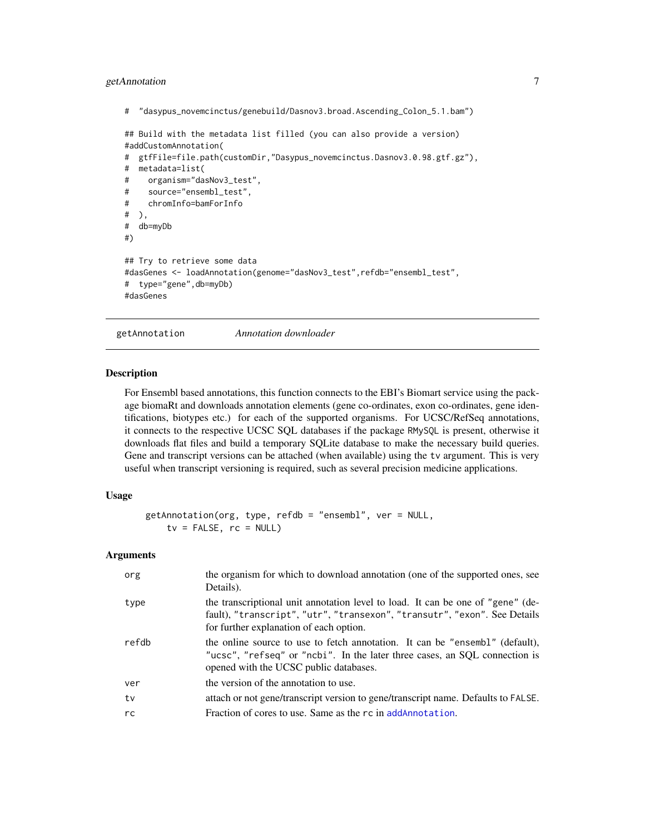#### <span id="page-6-0"></span>getAnnotation 7

```
# "dasypus_novemcinctus/genebuild/Dasnov3.broad.Ascending_Colon_5.1.bam")
```
## Build with the metadata list filled (you can also provide a version) #addCustomAnnotation(

```
# gtfFile=file.path(customDir,"Dasypus_novemcinctus.Dasnov3.0.98.gtf.gz"),
# metadata=list(
# organism="dasNov3_test",
# source="ensembl_test",
# chromInfo=bamForInfo
# ),
# db=myDb
#)
## Try to retrieve some data
#dasGenes <- loadAnnotation(genome="dasNov3_test",refdb="ensembl_test",
# type="gene",db=myDb)
#dasGenes
```
getAnnotation *Annotation downloader*

#### Description

For Ensembl based annotations, this function connects to the EBI's Biomart service using the package biomaRt and downloads annotation elements (gene co-ordinates, exon co-ordinates, gene identifications, biotypes etc.) for each of the supported organisms. For UCSC/RefSeq annotations, it connects to the respective UCSC SQL databases if the package RMySQL is present, otherwise it downloads flat files and build a temporary SQLite database to make the necessary build queries. Gene and transcript versions can be attached (when available) using the tv argument. This is very useful when transcript versioning is required, such as several precision medicine applications.

#### Usage

```
getAnnotation(org, type, refdb = "ensembl", ver = NULL,
   tv = FALSE, rc = NULL)
```
#### Arguments

| org   | the organism for which to download annotation (one of the supported ones, see<br>Details).                                                                                                              |
|-------|---------------------------------------------------------------------------------------------------------------------------------------------------------------------------------------------------------|
| type  | the transcriptional unit annotation level to load. It can be one of "gene" (de-<br>fault), "transcript", "utr", "transexon", "transutr", "exon". See Details<br>for further explanation of each option. |
| refdb | the online source to use to fetch annotation. It can be "ensembl" (default),<br>"ucsc", "refseq" or "ncbi". In the later three cases, an SQL connection is<br>opened with the UCSC public databases.    |
| ver   | the version of the annotation to use.                                                                                                                                                                   |
| tv    | attach or not gene/transcript version to gene/transcript name. Defaults to FALSE.                                                                                                                       |
| rc    | Fraction of cores to use. Same as the rc in addAnnotation.                                                                                                                                              |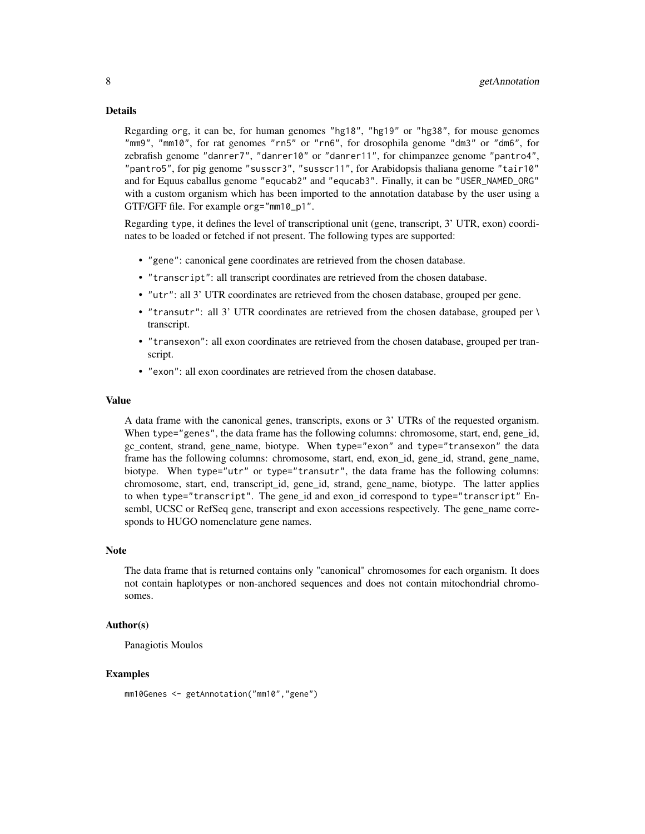#### Details

Regarding org, it can be, for human genomes "hg18", "hg19" or "hg38", for mouse genomes "mm9", "mm10", for rat genomes "rn5" or "rn6", for drosophila genome "dm3" or "dm6", for zebrafish genome "danrer7", "danrer10" or "danrer11", for chimpanzee genome "pantro4", "pantro5", for pig genome "susscr3", "susscr11", for Arabidopsis thaliana genome "tair10" and for Equus caballus genome "equcab2" and "equcab3". Finally, it can be "USER\_NAMED\_ORG" with a custom organism which has been imported to the annotation database by the user using a GTF/GFF file. For example org="mm10\_p1".

Regarding type, it defines the level of transcriptional unit (gene, transcript, 3' UTR, exon) coordinates to be loaded or fetched if not present. The following types are supported:

- "gene": canonical gene coordinates are retrieved from the chosen database.
- "transcript": all transcript coordinates are retrieved from the chosen database.
- "utr": all 3' UTR coordinates are retrieved from the chosen database, grouped per gene.
- "transutr": all 3' UTR coordinates are retrieved from the chosen database, grouped per \ transcript.
- "transexon": all exon coordinates are retrieved from the chosen database, grouped per transcript.
- "exon": all exon coordinates are retrieved from the chosen database.

#### Value

A data frame with the canonical genes, transcripts, exons or 3' UTRs of the requested organism. When type="genes", the data frame has the following columns: chromosome, start, end, gene id, gc\_content, strand, gene\_name, biotype. When type="exon" and type="transexon" the data frame has the following columns: chromosome, start, end, exon id, gene id, strand, gene name, biotype. When type="utr" or type="transutr", the data frame has the following columns: chromosome, start, end, transcript\_id, gene\_id, strand, gene\_name, biotype. The latter applies to when type="transcript". The gene\_id and exon\_id correspond to type="transcript" Ensembl, UCSC or RefSeq gene, transcript and exon accessions respectively. The gene\_name corresponds to HUGO nomenclature gene names.

#### Note

The data frame that is returned contains only "canonical" chromosomes for each organism. It does not contain haplotypes or non-anchored sequences and does not contain mitochondrial chromosomes.

#### Author(s)

Panagiotis Moulos

```
mm10Genes <- getAnnotation("mm10","gene")
```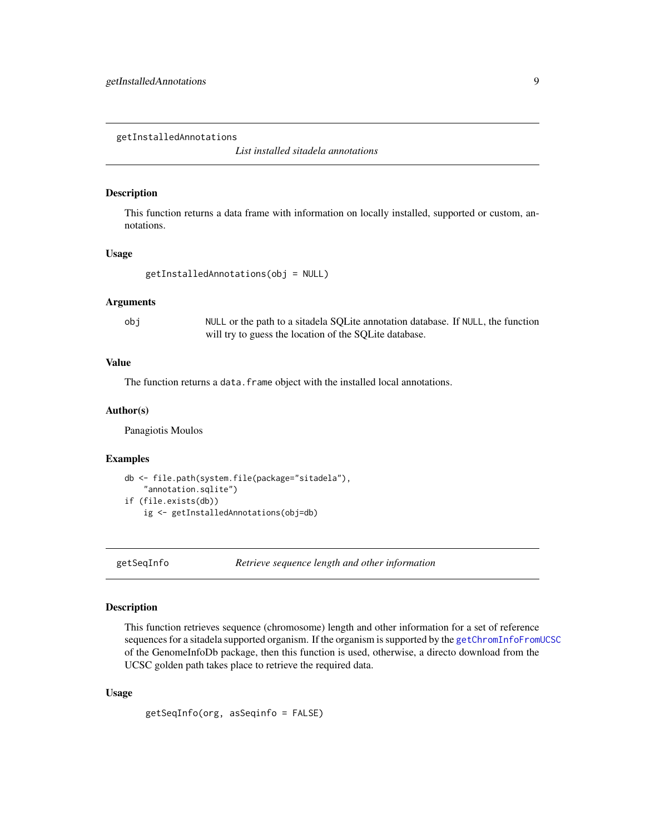<span id="page-8-1"></span><span id="page-8-0"></span>getInstalledAnnotations

*List installed sitadela annotations*

#### Description

This function returns a data frame with information on locally installed, supported or custom, annotations.

#### Usage

```
getInstalledAnnotations(obj = NULL)
```
#### Arguments

obj NULL or the path to a sitadela SQLite annotation database. If NULL, the function will try to guess the location of the SQLite database.

#### Value

The function returns a data. frame object with the installed local annotations.

#### Author(s)

Panagiotis Moulos

#### Examples

```
db <- file.path(system.file(package="sitadela"),
    "annotation.sqlite")
if (file.exists(db))
    ig <- getInstalledAnnotations(obj=db)
```
getSeqInfo *Retrieve sequence length and other information*

#### Description

This function retrieves sequence (chromosome) length and other information for a set of reference sequences for a sitadela supported organism. If the organism is supported by the [getChromInfoFromUCSC](#page-0-0) of the GenomeInfoDb package, then this function is used, otherwise, a directo download from the UCSC golden path takes place to retrieve the required data.

#### Usage

getSeqInfo(org, asSeqinfo = FALSE)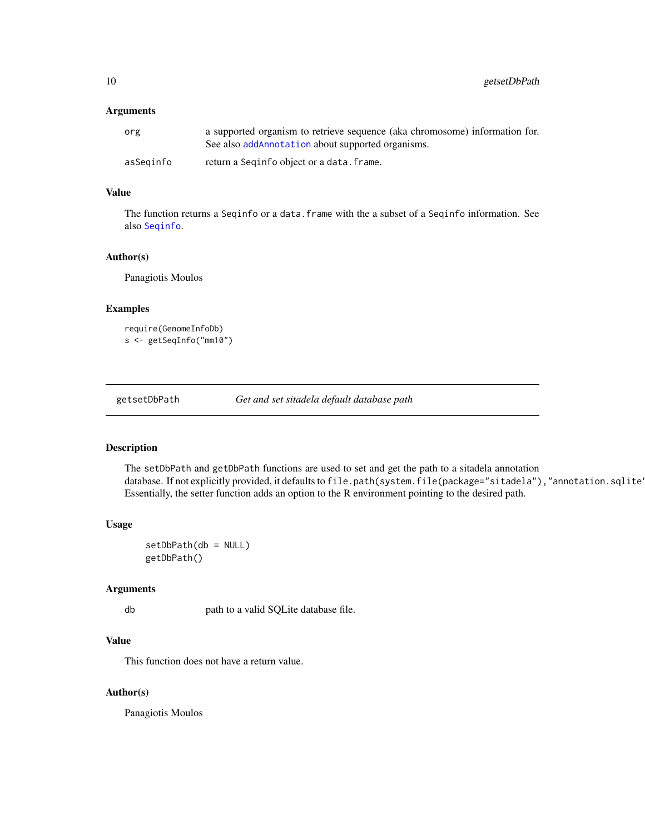<span id="page-9-0"></span>10 getsetDbPath

#### Arguments

| org       | a supported organism to retrieve sequence (aka chromosome) information for.<br>See also addAnnotation about supported organisms. |
|-----------|----------------------------------------------------------------------------------------------------------------------------------|
| asSeginfo | return a Seginfo object or a data. frame.                                                                                        |

#### Value

The function returns a Seqinfo or a data. frame with the a subset of a Seqinfo information. See also [Seqinfo](#page-0-0).

#### Author(s)

Panagiotis Moulos

#### Examples

```
require(GenomeInfoDb)
s <- getSeqInfo("mm10")
```
getsetDbPath *Get and set sitadela default database path*

#### Description

The setDbPath and getDbPath functions are used to set and get the path to a sitadela annotation database. If not explicitly provided, it defaults to file.path(system.file(package="sitadela"),"annotation.sqlite' Essentially, the setter function adds an option to the R environment pointing to the desired path.

#### Usage

setDbPath(db = NULL) getDbPath()

#### Arguments

db path to a valid SQLite database file.

#### Value

This function does not have a return value.

#### Author(s)

Panagiotis Moulos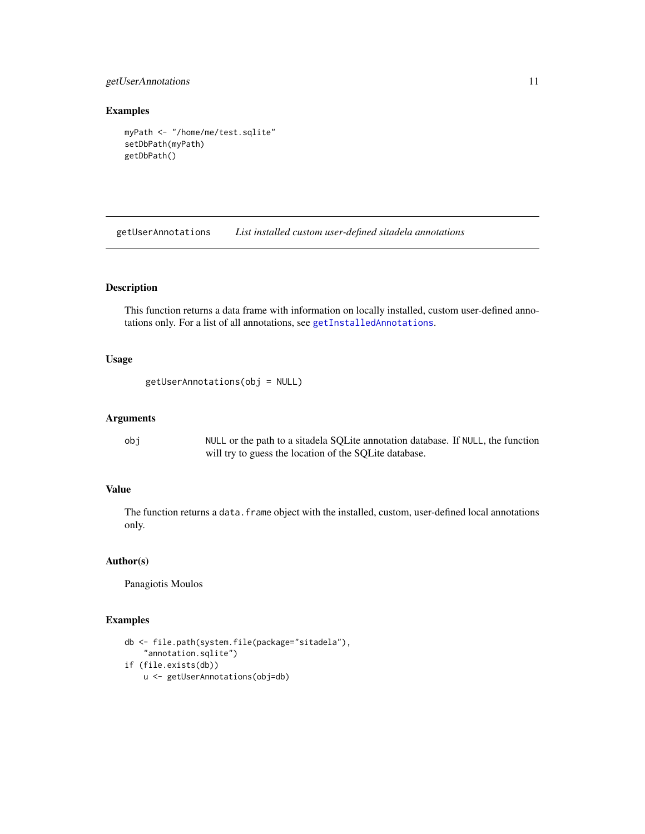#### <span id="page-10-0"></span>getUserAnnotations 11

#### Examples

```
myPath <- "/home/me/test.sqlite"
setDbPath(myPath)
getDbPath()
```
getUserAnnotations *List installed custom user-defined sitadela annotations*

#### Description

This function returns a data frame with information on locally installed, custom user-defined annotations only. For a list of all annotations, see [getInstalledAnnotations](#page-8-1).

#### Usage

```
getUserAnnotations(obj = NULL)
```
#### Arguments

obj NULL or the path to a sitadela SQLite annotation database. If NULL, the function will try to guess the location of the SQLite database.

#### Value

The function returns a data. frame object with the installed, custom, user-defined local annotations only.

#### Author(s)

Panagiotis Moulos

```
db <- file.path(system.file(package="sitadela"),
    "annotation.sqlite")
if (file.exists(db))
   u <- getUserAnnotations(obj=db)
```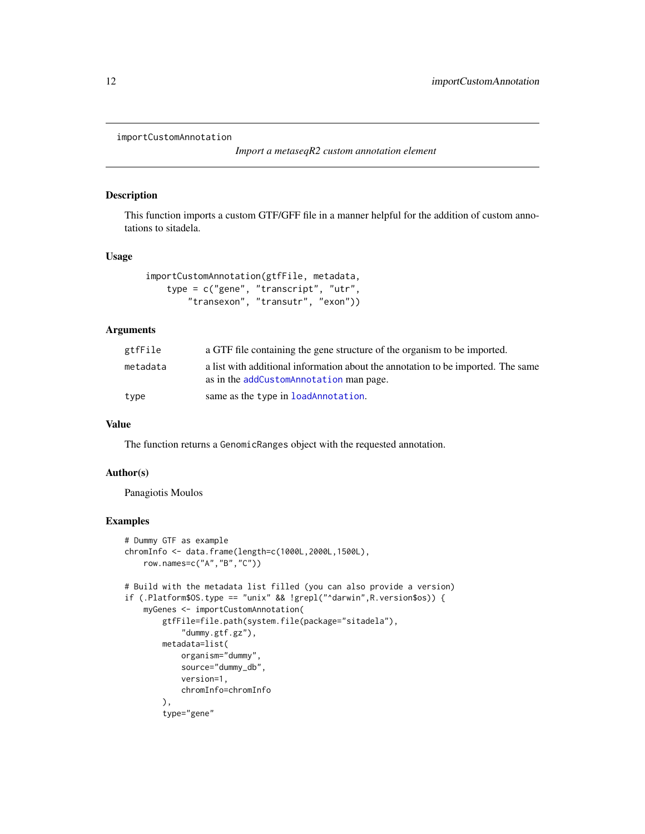```
importCustomAnnotation
```
*Import a metaseqR2 custom annotation element*

#### Description

This function imports a custom GTF/GFF file in a manner helpful for the addition of custom annotations to sitadela.

#### Usage

```
importCustomAnnotation(gtfFile, metadata,
   type = c("gene", "transcript", "utr",
       "transexon", "transutr", "exon"))
```
#### Arguments

| gtfFile  | a GTF file containing the gene structure of the organism to be imported.                                                    |
|----------|-----------------------------------------------------------------------------------------------------------------------------|
| metadata | a list with additional information about the annotation to be imported. The same<br>as in the addCustomAnnotation man page. |
| type     | same as the type in loadAnnotation.                                                                                         |

#### Value

The function returns a GenomicRanges object with the requested annotation.

#### Author(s)

Panagiotis Moulos

```
# Dummy GTF as example
chromInfo <- data.frame(length=c(1000L,2000L,1500L),
   row.names=c("A","B","C"))
# Build with the metadata list filled (you can also provide a version)
if (.Platform$OS.type == "unix" && !grepl("^darwin",R.version$os)) {
    myGenes <- importCustomAnnotation(
       gtfFile=file.path(system.file(package="sitadela"),
            "dummy.gtf.gz"),
       metadata=list(
            organism="dummy",
            source="dummy_db",
            version=1,
            chromInfo=chromInfo
       ),
       type="gene"
```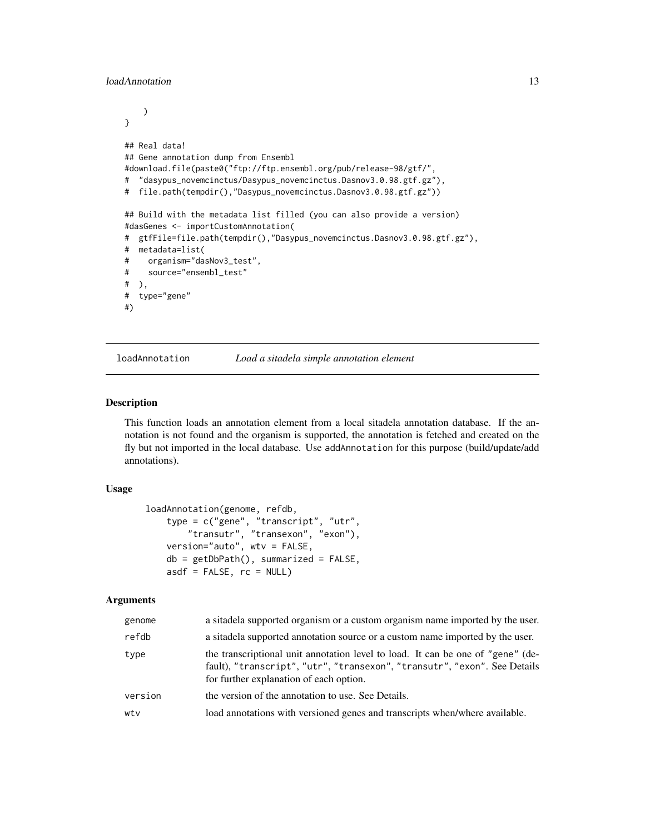#### <span id="page-12-0"></span>loadAnnotation 13

```
)
}
## Real data!
## Gene annotation dump from Ensembl
#download.file(paste0("ftp://ftp.ensembl.org/pub/release-98/gtf/",
# "dasypus_novemcinctus/Dasypus_novemcinctus.Dasnov3.0.98.gtf.gz"),
# file.path(tempdir(),"Dasypus_novemcinctus.Dasnov3.0.98.gtf.gz"))
## Build with the metadata list filled (you can also provide a version)
#dasGenes <- importCustomAnnotation(
# gtfFile=file.path(tempdir(),"Dasypus_novemcinctus.Dasnov3.0.98.gtf.gz"),
# metadata=list(
# organism="dasNov3_test",
# source="ensembl_test"
# ),
# type="gene"
#)
```
<span id="page-12-1"></span>loadAnnotation *Load a sitadela simple annotation element*

#### Description

This function loads an annotation element from a local sitadela annotation database. If the annotation is not found and the organism is supported, the annotation is fetched and created on the fly but not imported in the local database. Use addAnnotation for this purpose (build/update/add annotations).

#### Usage

```
loadAnnotation(genome, refdb,
    type = c("gene", "transcript", "utr",
        "transutr", "transexon", "exon"),
   version="auto", wtv = FALSE,
   db = getDbPath(), summarized = FALSE,
   asdf = FALSE, rc = NULL)
```
#### Arguments

| genome  | a sitadela supported organism or a custom organism name imported by the user.                                                                                                                           |
|---------|---------------------------------------------------------------------------------------------------------------------------------------------------------------------------------------------------------|
| refdb   | a situated as a situation source or a custom name imported by the user.                                                                                                                                 |
| type    | the transcriptional unit annotation level to load. It can be one of "gene" (de-<br>fault), "transcript", "utr", "transexon", "transutr", "exon". See Details<br>for further explanation of each option. |
| version | the version of the annotation to use. See Details.                                                                                                                                                      |
| wtv     | load annotations with versioned genes and transcripts when/where available.                                                                                                                             |
|         |                                                                                                                                                                                                         |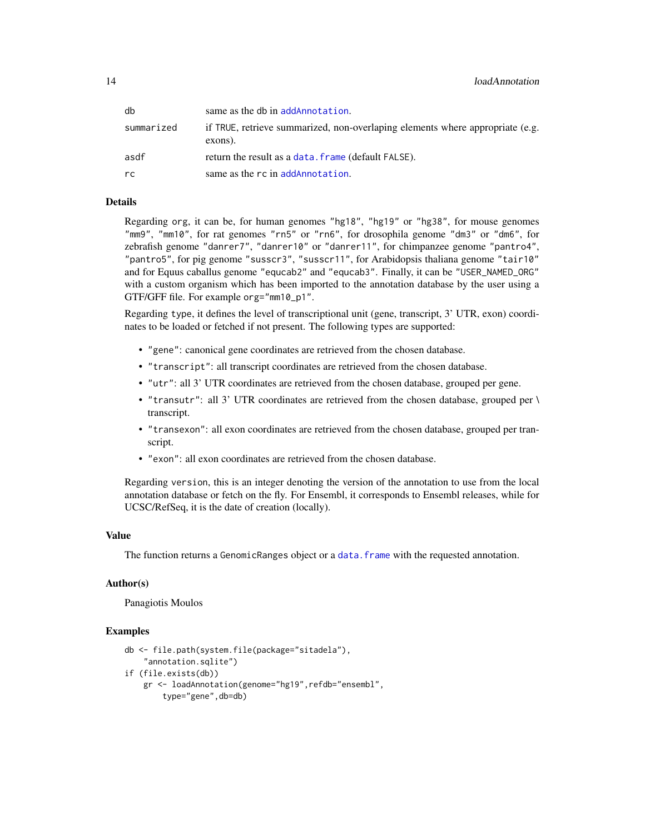<span id="page-13-0"></span>

| db         | same as the db in addAnnotation.                                                         |
|------------|------------------------------------------------------------------------------------------|
| summarized | if TRUE, retrieve summarized, non-overlaping elements where appropriate (e.g.<br>exons). |
| asdf       | return the result as a data. frame (default FALSE).                                      |
| rc         | same as the rc in addAnnotation.                                                         |

#### Details

Regarding org, it can be, for human genomes "hg18", "hg19" or "hg38", for mouse genomes "mm9", "mm10", for rat genomes "rn5" or "rn6", for drosophila genome "dm3" or "dm6", for zebrafish genome "danrer7", "danrer10" or "danrer11", for chimpanzee genome "pantro4", "pantro5", for pig genome "susscr3", "susscr11", for Arabidopsis thaliana genome "tair10" and for Equus caballus genome "equcab2" and "equcab3". Finally, it can be "USER\_NAMED\_ORG" with a custom organism which has been imported to the annotation database by the user using a GTF/GFF file. For example org="mm10\_p1".

Regarding type, it defines the level of transcriptional unit (gene, transcript, 3' UTR, exon) coordinates to be loaded or fetched if not present. The following types are supported:

- "gene": canonical gene coordinates are retrieved from the chosen database.
- "transcript": all transcript coordinates are retrieved from the chosen database.
- "utr": all 3' UTR coordinates are retrieved from the chosen database, grouped per gene.
- "transutr": all 3' UTR coordinates are retrieved from the chosen database, grouped per \ transcript.
- "transexon": all exon coordinates are retrieved from the chosen database, grouped per transcript.
- "exon": all exon coordinates are retrieved from the chosen database.

Regarding version, this is an integer denoting the version of the annotation to use from the local annotation database or fetch on the fly. For Ensembl, it corresponds to Ensembl releases, while for UCSC/RefSeq, it is the date of creation (locally).

#### Value

The function returns a GenomicRanges object or a data. frame with the requested annotation.

#### Author(s)

Panagiotis Moulos

```
db <- file.path(system.file(package="sitadela"),
    "annotation.sqlite")
if (file.exists(db))
   gr <- loadAnnotation(genome="hg19",refdb="ensembl",
        type="gene",db=db)
```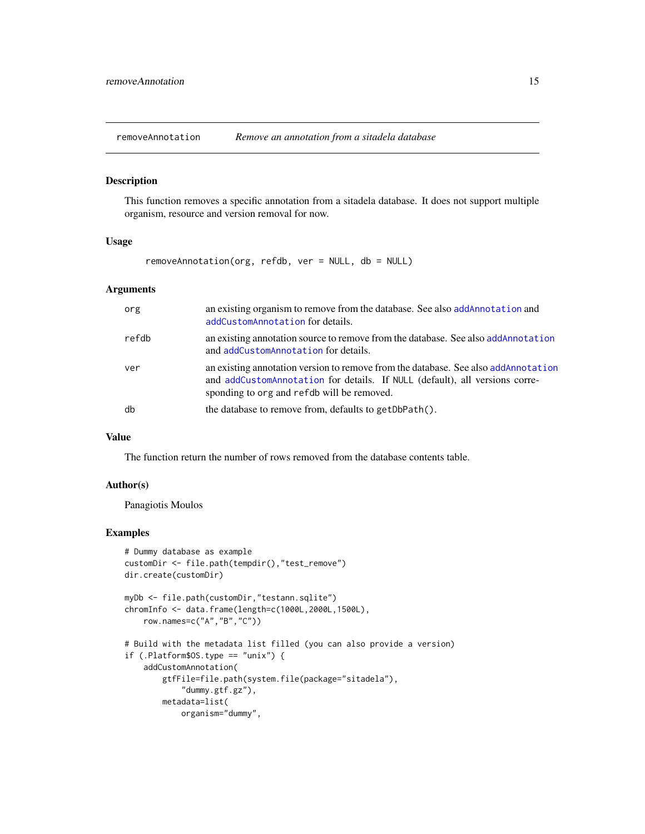<span id="page-14-0"></span>removeAnnotation *Remove an annotation from a sitadela database*

#### Description

This function removes a specific annotation from a sitadela database. It does not support multiple organism, resource and version removal for now.

#### Usage

removeAnnotation(org, refdb, ver = NULL, db = NULL)

#### Arguments

| org   | an existing organism to remove from the database. See also add Annotation and<br>addCustomAnnotation for details.                                                                                                |
|-------|------------------------------------------------------------------------------------------------------------------------------------------------------------------------------------------------------------------|
| refdb | an existing annotation source to remove from the database. See also addAnnotation<br>and addCustomAnnotation for details.                                                                                        |
| ver   | an existing annotation version to remove from the database. See also add Annotation<br>and addCustomAnnotation for details. If NULL (default), all versions corre-<br>sponding to org and refdb will be removed. |
| db    | the database to remove from, defaults to get DbPath().                                                                                                                                                           |

#### Value

The function return the number of rows removed from the database contents table.

#### Author(s)

Panagiotis Moulos

```
# Dummy database as example
customDir <- file.path(tempdir(),"test_remove")
dir.create(customDir)
myDb <- file.path(customDir,"testann.sqlite")
chromInfo <- data.frame(length=c(1000L,2000L,1500L),
    row.names=c("A","B","C"))
# Build with the metadata list filled (you can also provide a version)
if (.Platform$OS.type == "unix") {
    addCustomAnnotation(
        gtfFile=file.path(system.file(package="sitadela"),
            "dummy.gtf.gz"),
       metadata=list(
            organism="dummy",
```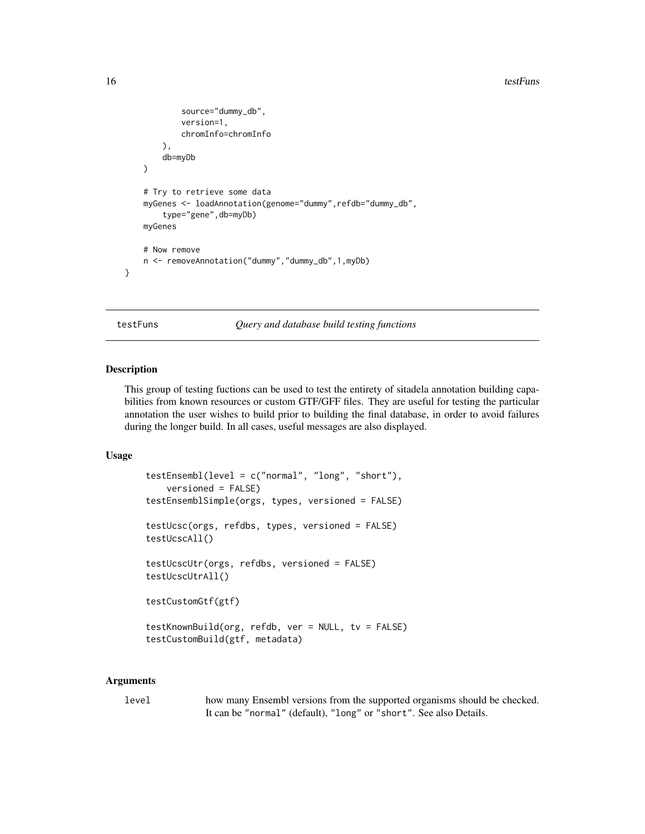#### <span id="page-15-0"></span>16 testFuns

```
source="dummy_db",
        version=1,
        chromInfo=chromInfo
    ),
    db=myDb
\mathcal{L}# Try to retrieve some data
myGenes <- loadAnnotation(genome="dummy",refdb="dummy_db",
    type="gene",db=myDb)
myGenes
# Now remove
n <- removeAnnotation("dummy","dummy_db",1,myDb)
```
}

testFuns *Query and database build testing functions*

#### Description

This group of testing fuctions can be used to test the entirety of sitadela annotation building capabilities from known resources or custom GTF/GFF files. They are useful for testing the particular annotation the user wishes to build prior to building the final database, in order to avoid failures during the longer build. In all cases, useful messages are also displayed.

#### Usage

```
testEnsembl(level = c("normal", "long", "short"),
   versioned = FALSE)
testEnsemblSimple(orgs, types, versioned = FALSE)
testUcsc(orgs, refdbs, types, versioned = FALSE)
testUcscAll()
testUcscUtr(orgs, refdbs, versioned = FALSE)
testUcscUtrAll()
testCustomGtf(gtf)
testKnownBuild(org, refdb, ver = NULL, tv = FALSE)
testCustomBuild(gtf, metadata)
```
#### Arguments

level how many Ensembl versions from the supported organisms should be checked. It can be "normal" (default), "long" or "short". See also Details.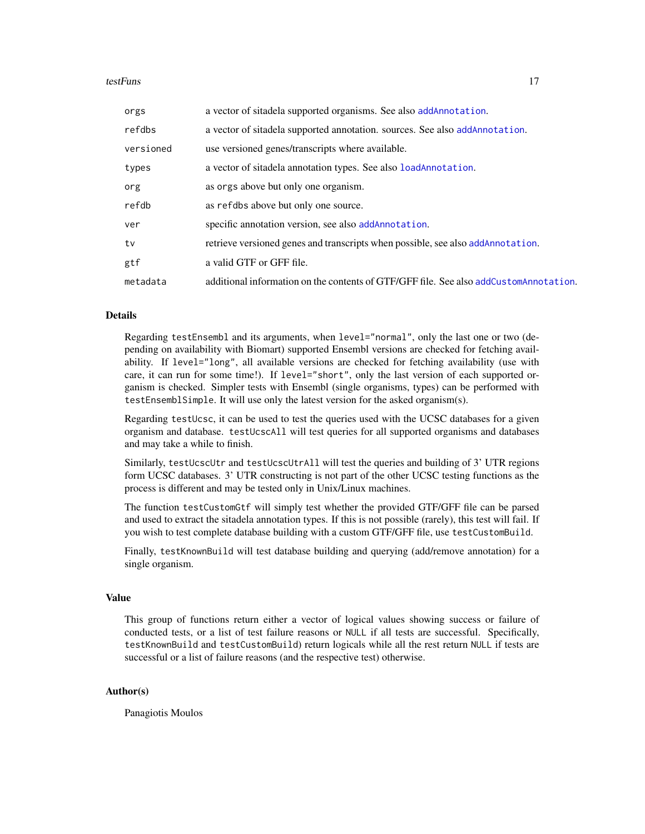#### <span id="page-16-0"></span>testFuns 17

| orgs      | a vector of sitadela supported organisms. See also add Annotation.                    |
|-----------|---------------------------------------------------------------------------------------|
| refdbs    | a vector of sitadela supported annotation, sources. See also addAnnotation.           |
| versioned | use versioned genes/transcripts where available.                                      |
| types     | a vector of sitadela annotation types. See also loadAnnotation.                       |
| org       | as orgs above but only one organism.                                                  |
| refdb     | as refdbs above but only one source.                                                  |
| ver       | specific annotation version, see also addAnnotation.                                  |
| tv        | retrieve versioned genes and transcripts when possible, see also add Annotation.      |
| gtf       | a valid GTF or GFF file.                                                              |
| metadata  | additional information on the contents of GTF/GFF file. See also addCustomAnnotation. |

#### Details

Regarding testEnsembl and its arguments, when level="normal", only the last one or two (depending on availability with Biomart) supported Ensembl versions are checked for fetching availability. If level="long", all available versions are checked for fetching availability (use with care, it can run for some time!). If level="short", only the last version of each supported organism is checked. Simpler tests with Ensembl (single organisms, types) can be performed with testEnsemblSimple. It will use only the latest version for the asked organism(s).

Regarding testUcsc, it can be used to test the queries used with the UCSC databases for a given organism and database. testUcscAll will test queries for all supported organisms and databases and may take a while to finish.

Similarly, testUcscUtr and testUcscUtrAll will test the queries and building of 3' UTR regions form UCSC databases. 3' UTR constructing is not part of the other UCSC testing functions as the process is different and may be tested only in Unix/Linux machines.

The function testCustomGtf will simply test whether the provided GTF/GFF file can be parsed and used to extract the sitadela annotation types. If this is not possible (rarely), this test will fail. If you wish to test complete database building with a custom GTF/GFF file, use testCustomBuild.

Finally, testKnownBuild will test database building and querying (add/remove annotation) for a single organism.

#### Value

This group of functions return either a vector of logical values showing success or failure of conducted tests, or a list of test failure reasons or NULL if all tests are successful. Specifically, testKnownBuild and testCustomBuild) return logicals while all the rest return NULL if tests are successful or a list of failure reasons (and the respective test) otherwise.

#### Author(s)

Panagiotis Moulos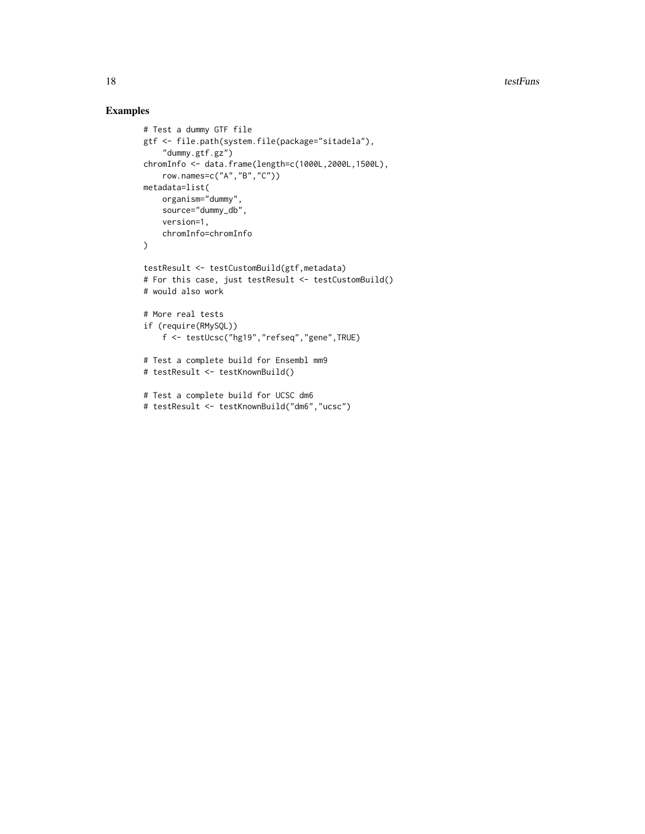```
# Test a dummy GTF file
gtf <- file.path(system.file(package="sitadela"),
    "dummy.gtf.gz")
chromInfo <- data.frame(length=c(1000L,2000L,1500L),
    row.names=c("A","B","C"))
metadata=list(
   organism="dummy",
    source="dummy_db",
    version=1,
   chromInfo=chromInfo
\lambdatestResult <- testCustomBuild(gtf,metadata)
# For this case, just testResult <- testCustomBuild()
# would also work
# More real tests
if (require(RMySQL))
    f <- testUcsc("hg19","refseq","gene",TRUE)
# Test a complete build for Ensembl mm9
# testResult <- testKnownBuild()
# Test a complete build for UCSC dm6
# testResult <- testKnownBuild("dm6","ucsc")
```